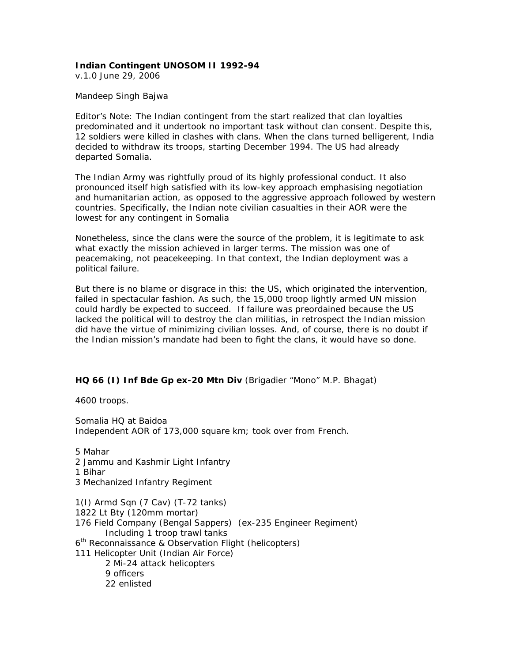## **Indian Contingent UNOSOM II 1992-94**

v.1.0 June 29, 2006

## *Mandeep Singh Bajwa*

*Editor's Note*: The Indian contingent from the start realized that clan loyalties predominated and it undertook no important task without clan consent. Despite this, 12 soldiers were killed in clashes with clans. When the clans turned belligerent, India decided to withdraw its troops, starting December 1994. The US had already departed Somalia.

The Indian Army was rightfully proud of its highly professional conduct. It also pronounced itself high satisfied with its low-key approach emphasising negotiation and humanitarian action, as opposed to the aggressive approach followed by western countries. Specifically, the Indian note civilian casualties in their AOR were the lowest for any contingent in Somalia

Nonetheless, since the clans were the source of the problem, it is legitimate to ask what exactly the mission achieved in larger terms. The mission was one of peacemaking, not peacekeeping. In that context, the Indian deployment was a political failure.

But there is no blame or disgrace in this: the US, which originated the intervention, failed in spectacular fashion. As such, the 15,000 troop lightly armed UN mission could hardly be expected to succeed. If failure was preordained because the US lacked the political will to destroy the clan militias, in retrospect the Indian mission did have the virtue of minimizing civilian losses. And, of course, there is no doubt if the Indian mission's mandate had been to fight the clans, it would have so done.

## **HQ 66 (I) Inf Bde Gp ex-20 Mtn Div** (Brigadier "Mono" M.P. Bhagat)

4600 troops.

Somalia HQ at Baidoa Independent AOR of 173,000 square km; took over from French.

5 Mahar 2 Jammu and Kashmir Light Infantry 1 Bihar 3 Mechanized Infantry Regiment 1(I) Armd Sqn (7 Cav) (T-72 tanks) 1822 Lt Bty (120mm mortar) 176 Field Company (Bengal Sappers) (ex-235 Engineer Regiment) Including 1 troop trawl tanks 6th Reconnaissance & Observation Flight (helicopters) 111 Helicopter Unit (Indian Air Force) 2 Mi-24 attack helicopters 9 officers 22 enlisted